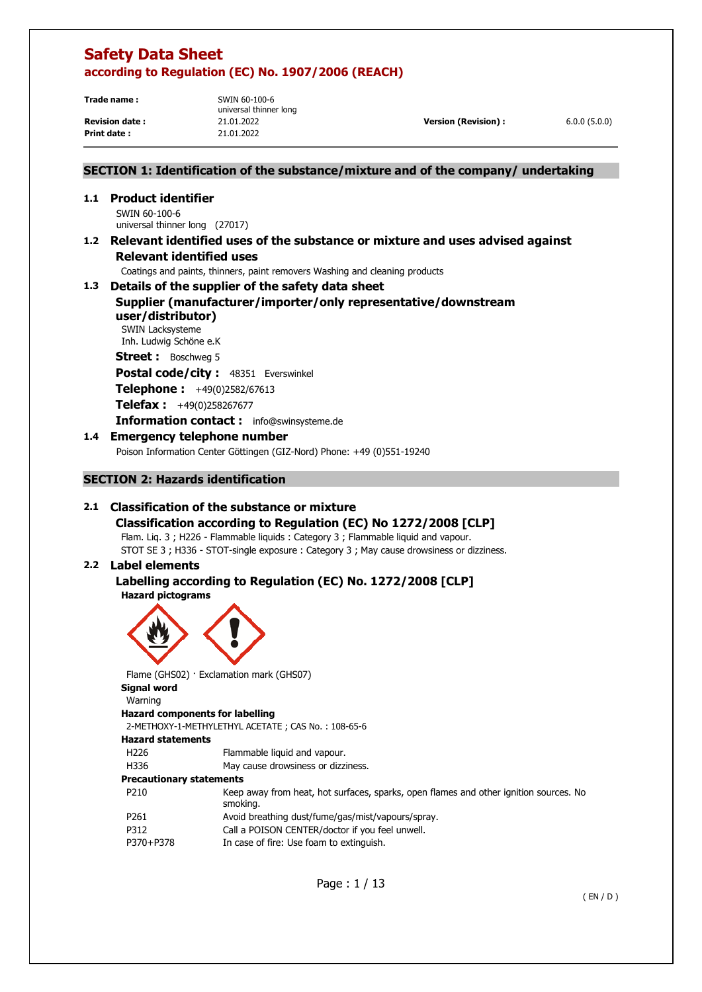**Trade name :** SWIN 60-100-6

**Print date :** 21.01.2022

universal thinner long

**Revision date :** 21.01.2022 **Version (Revision) :** 6.0.0 (5.0.0)

# **SECTION 1: Identification of the substance/mixture and of the company/ undertaking**

**1.1 Product identifier**  SWIN 60-100-6 universal thinner long (27017) **1.2 Relevant identified uses of the substance or mixture and uses advised against Relevant identified uses** 

Coatings and paints, thinners, paint removers Washing and cleaning products

# **1.3 Details of the supplier of the safety data sheet Supplier (manufacturer/importer/only representative/downstream user/distributor)**

SWIN Lacksysteme Inh. Ludwig Schöne e.K

**Street :** Boschweg 5

Postal code/city : 48351 Everswinkel

**Telephone :** +49(0)2582/67613

**Telefax :** +49(0)258267677

**Information contact :** info@swinsysteme.de

# **1.4 Emergency telephone number**

Poison Information Center Göttingen (GIZ-Nord) Phone: +49 (0)551-19240

# **SECTION 2: Hazards identification**

# **2.1 Classification of the substance or mixture**

**Classification according to Regulation (EC) No 1272/2008 [CLP]**  Flam. Liq. 3 ; H226 - Flammable liquids : Category 3 ; Flammable liquid and vapour.

STOT SE 3 ; H336 - STOT-single exposure : Category 3 ; May cause drowsiness or dizziness.

# **2.2 Label elements**

# **Labelling according to Regulation (EC) No. 1272/2008 [CLP] Hazard pictograms**



Flame (GHS02) · Exclamation mark (GHS07) **Signal word**  Warning **Hazard components for labelling**  2-METHOXY-1-METHYLETHYL ACETATE ; CAS No. : 108-65-6 **Hazard statements**  H226 Flammable liquid and vapour. H336 May cause drowsiness or dizziness. **Precautionary statements** 

P210 Keep away from heat, hot surfaces, sparks, open flames and other ignition sources. No smoking. P261 Avoid breathing dust/fume/gas/mist/vapours/spray. P312 Call a POISON CENTER/doctor if you feel unwell.

P370+P378 In case of fire: Use foam to extinguish.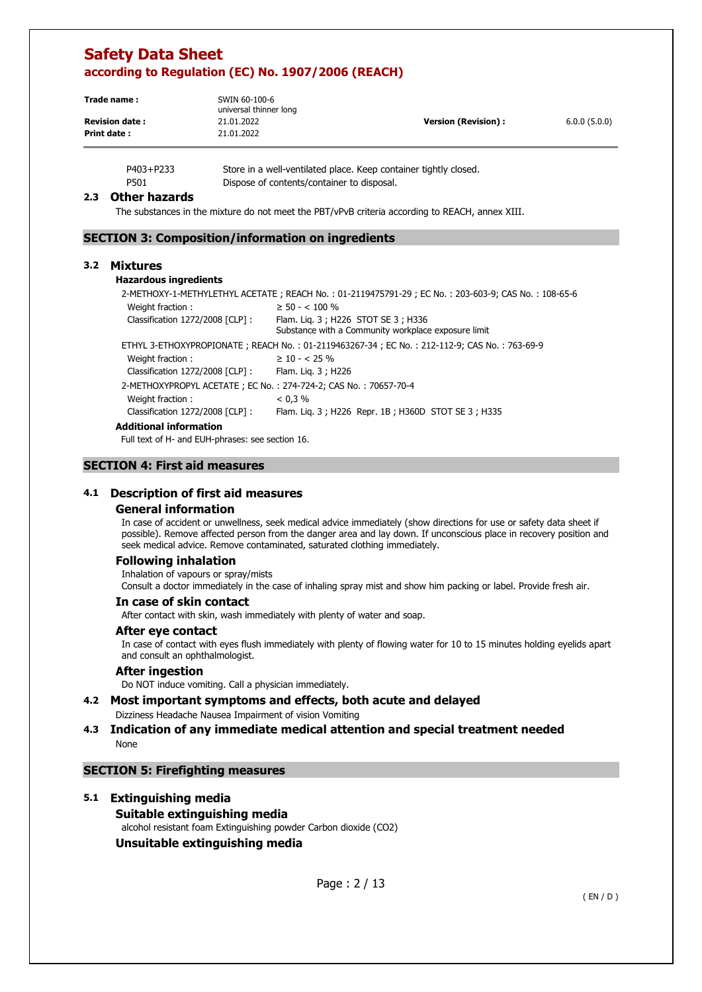| Trade name:           | SWIN 60-100-6<br>universal thinner long |                            |              |
|-----------------------|-----------------------------------------|----------------------------|--------------|
| <b>Revision date:</b> | 21.01.2022                              | <b>Version (Revision):</b> | 6.0.0(5.0.0) |
| Print date:           | 21.01.2022                              |                            |              |

P403+P233 Store in a well-ventilated place. Keep container tightly closed. P501 Dispose of contents/container to disposal.

#### **2.3 Other hazards**

The substances in the mixture do not meet the PBT/vPvB criteria according to REACH, annex XIII.

### **SECTION 3: Composition/information on ingredients**

#### **3.2 Mixtures**

#### **Hazardous ingredients**

2-METHOXY-1-METHYLETHYL ACETATE ; REACH No. : 01-2119475791-29 ; EC No. : 203-603-9; CAS No. : 108-65-6 Weight fraction :  $> 50 - 500$  %

| Classification 1272/2008 [CLP] :                                | Flam. Lig. 3; H226 STOT SE 3; H336<br>Substance with a Community workplace exposure limit   |
|-----------------------------------------------------------------|---------------------------------------------------------------------------------------------|
|                                                                 |                                                                                             |
|                                                                 | ETHYL 3-ETHOXYPROPIONATE; REACH No.: 01-2119463267-34; EC No.: 212-112-9; CAS No.: 763-69-9 |
| Weight fraction:                                                | $\geq 10 - 525\%$                                                                           |
| Classification 1272/2008 [CLP]:                                 | Flam. Lig. 3; H226                                                                          |
| 2-METHOXYPROPYL ACETATE; EC No.: 274-724-2; CAS No.: 70657-70-4 |                                                                                             |
| Weight fraction:                                                | < 0.3 %                                                                                     |
| Classification 1272/2008 [CLP]:                                 | Flam. Lig. 3; H226 Repr. 1B; H360D STOT SE 3; H335                                          |
| Additional information                                          |                                                                                             |

Full text of H- and EUH-phrases: see section 16.

#### **SECTION 4: First aid measures**

### **4.1 Description of first aid measures**

#### **General information**

In case of accident or unwellness, seek medical advice immediately (show directions for use or safety data sheet if possible). Remove affected person from the danger area and lay down. If unconscious place in recovery position and seek medical advice. Remove contaminated, saturated clothing immediately.

#### **Following inhalation**

Inhalation of vapours or spray/mists Consult a doctor immediately in the case of inhaling spray mist and show him packing or label. Provide fresh air.

#### **In case of skin contact**

After contact with skin, wash immediately with plenty of water and soap.

#### **After eye contact**

In case of contact with eyes flush immediately with plenty of flowing water for 10 to 15 minutes holding eyelids apart and consult an ophthalmologist.

#### **After ingestion**

Do NOT induce vomiting. Call a physician immediately.

#### **4.2 Most important symptoms and effects, both acute and delayed**  Dizziness Headache Nausea Impairment of vision Vomiting

#### **4.3 Indication of any immediate medical attention and special treatment needed**  None

## **SECTION 5: Firefighting measures**

#### **5.1 Extinguishing media**

**Suitable extinguishing media**  alcohol resistant foam Extinguishing powder Carbon dioxide (CO2) **Unsuitable extinguishing media**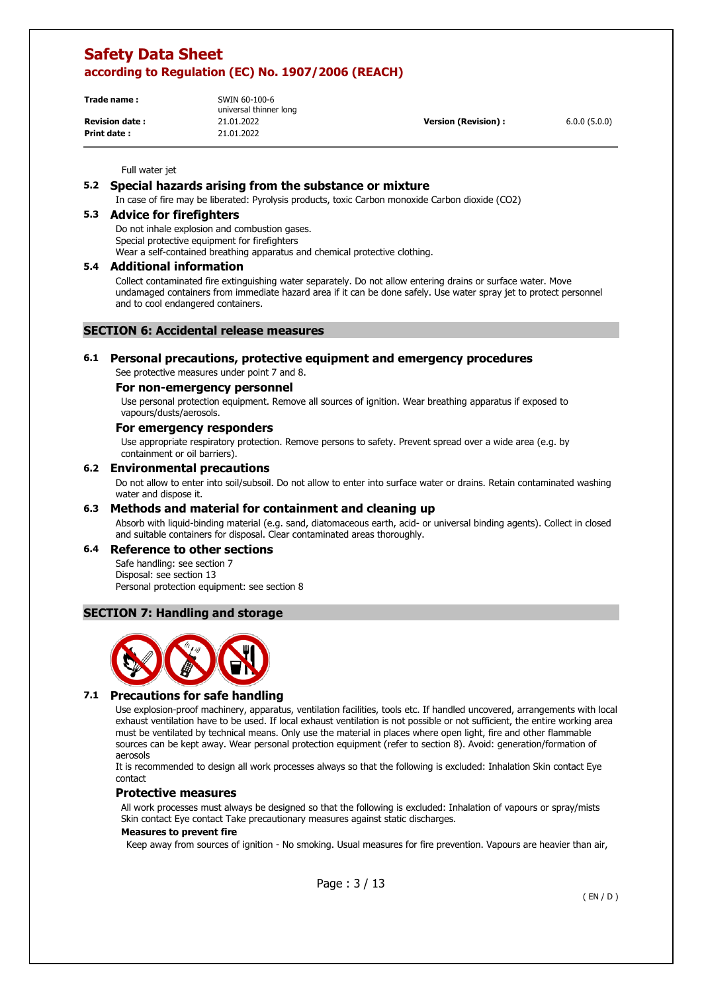| Trade name:           | SWIN 60-100-6<br>universal thinner long |                      |              |
|-----------------------|-----------------------------------------|----------------------|--------------|
| <b>Revision date:</b> | 21.01.2022                              | Version (Revision) : | 6.0.0(5.0.0) |
| Print date:           | 21.01.2022                              |                      |              |

Full water jet

# **5.2 Special hazards arising from the substance or mixture**

In case of fire may be liberated: Pyrolysis products, toxic Carbon monoxide Carbon dioxide (CO2)

# **5.3 Advice for firefighters**

Do not inhale explosion and combustion gases. Special protective equipment for firefighters Wear a self-contained breathing apparatus and chemical protective clothing.

# **5.4 Additional information**

Collect contaminated fire extinguishing water separately. Do not allow entering drains or surface water. Move undamaged containers from immediate hazard area if it can be done safely. Use water spray jet to protect personnel and to cool endangered containers.

### **SECTION 6: Accidental release measures**

# **6.1 Personal precautions, protective equipment and emergency procedures**

See protective measures under point 7 and 8.

# **For non-emergency personnel**

Use personal protection equipment. Remove all sources of ignition. Wear breathing apparatus if exposed to vapours/dusts/aerosols.

#### **For emergency responders**

Use appropriate respiratory protection. Remove persons to safety. Prevent spread over a wide area (e.g. by containment or oil barriers).

#### **6.2 Environmental precautions**

Do not allow to enter into soil/subsoil. Do not allow to enter into surface water or drains. Retain contaminated washing water and dispose it.

#### **6.3 Methods and material for containment and cleaning up**

Absorb with liquid-binding material (e.g. sand, diatomaceous earth, acid- or universal binding agents). Collect in closed and suitable containers for disposal. Clear contaminated areas thoroughly.

#### **6.4 Reference to other sections**

Safe handling: see section 7 Disposal: see section 13 Personal protection equipment: see section 8

### **SECTION 7: Handling and storage**



#### **7.1 Precautions for safe handling**

Use explosion-proof machinery, apparatus, ventilation facilities, tools etc. If handled uncovered, arrangements with local exhaust ventilation have to be used. If local exhaust ventilation is not possible or not sufficient, the entire working area must be ventilated by technical means. Only use the material in places where open light, fire and other flammable sources can be kept away. Wear personal protection equipment (refer to section 8). Avoid: generation/formation of aerosols

It is recommended to design all work processes always so that the following is excluded: Inhalation Skin contact Eye contact

#### **Protective measures**

All work processes must always be designed so that the following is excluded: Inhalation of vapours or spray/mists Skin contact Eye contact Take precautionary measures against static discharges.

#### **Measures to prevent fire**

Keep away from sources of ignition - No smoking. Usual measures for fire prevention. Vapours are heavier than air,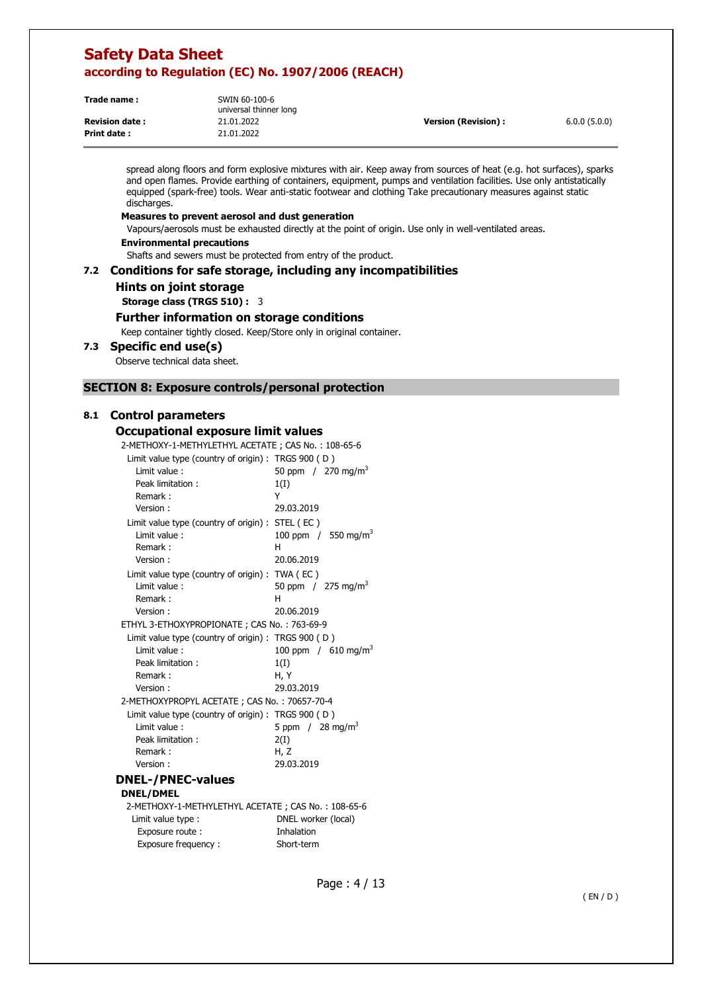| Trade name:           | SWIN 60-100-6<br>universal thinner long |                      |              |
|-----------------------|-----------------------------------------|----------------------|--------------|
| <b>Revision date:</b> | 21.01.2022                              | Version (Revision) : | 6.0.0(5.0.0) |
| <b>Print date:</b>    | 21.01.2022                              |                      |              |

spread along floors and form explosive mixtures with air. Keep away from sources of heat (e.g. hot surfaces), sparks and open flames. Provide earthing of containers, equipment, pumps and ventilation facilities. Use only antistatically equipped (spark-free) tools. Wear anti-static footwear and clothing Take precautionary measures against static discharges.

#### **Measures to prevent aerosol and dust generation**

Vapours/aerosols must be exhausted directly at the point of origin. Use only in well-ventilated areas.

**Environmental precautions** 

Shafts and sewers must be protected from entry of the product.

#### **7.2 Conditions for safe storage, including any incompatibilities**

**Hints on joint storage** 

**Storage class (TRGS 510) :** 3

# **Further information on storage conditions**

Keep container tightly closed. Keep/Store only in original container.

#### **7.3 Specific end use(s)**

Observe technical data sheet.

### **SECTION 8: Exposure controls/personal protection**

#### **8.1 Control parameters**

#### **Occupational exposure limit values**

2-METHOXY-1-METHYLETHYL ACETATE ; CAS No. : 108-65-6

| ZHILTITOAT "IHILTITILLITTIL ACLIATE", CAS NO. . 100"03"0 |                                   |
|----------------------------------------------------------|-----------------------------------|
| Limit value type (country of origin) : TRGS 900 (D)      |                                   |
| Limit value:                                             | 50 ppm $/270$ mg/m <sup>3</sup>   |
| Peak limitation:                                         | 1(I)                              |
| Remark:                                                  | Y                                 |
| Version:                                                 | 29.03.2019                        |
| Limit value type (country of origin) : STEL (EC)         |                                   |
| Limit value:                                             | 100 ppm $/$ 550 mg/m <sup>3</sup> |
| Remark:                                                  | н                                 |
| Version:                                                 | 20.06.2019                        |
| Limit value type (country of origin) : TWA (EC)          |                                   |
| Limit value:                                             | 50 ppm $/275 \text{ mg/m}^3$      |
| Remark:                                                  | н                                 |
| Version:                                                 | 20.06.2019                        |
| ETHYL 3-ETHOXYPROPIONATE; CAS No.: 763-69-9              |                                   |
| Limit value type (country of origin) : TRGS 900 (D)      |                                   |
| Limit value:                                             | 100 ppm / $610 \text{ mg/m}^3$    |
| Peak limitation:                                         | 1(I)                              |
| Remark:                                                  | H.Y                               |
| Version:                                                 | 29.03.2019                        |
| 2-METHOXYPROPYL ACETATE; CAS No.: 70657-70-4             |                                   |
| Limit value type (country of origin) : TRGS 900 (D)      |                                   |
| Limit value:                                             | 5 ppm $/$ 28 mg/m <sup>3</sup>    |
| Peak limitation:                                         | 2(I)                              |
| Remark:                                                  | H, Z                              |
| Version:                                                 | 29.03.2019                        |
| <b>DNEL-/PNEC-values</b>                                 |                                   |
| <b>DNEL/DMEL</b>                                         |                                   |
| 2-METHOXY-1-METHYLETHYL ACETATE; CAS No.: 108-65-6       |                                   |
| Limit value type :                                       | DNEL worker (local)               |
| Exposure route :                                         | Inhalation                        |
| Exposure frequency:                                      | Short-term                        |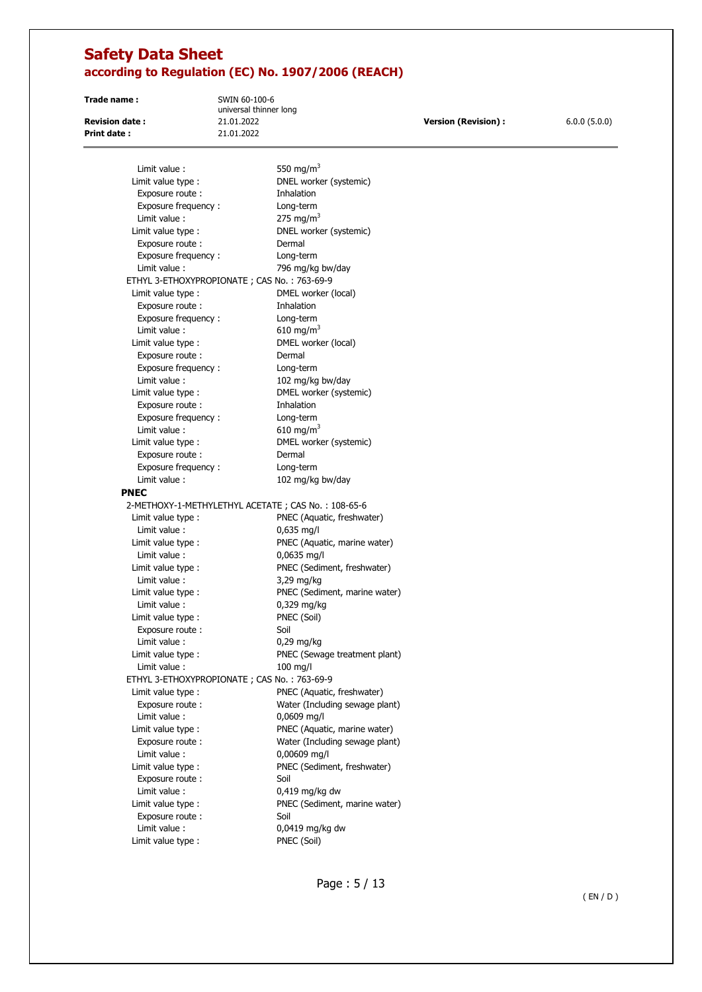**Print date :** 21.01.2022

**Trade name :** SWIN 60-100-6 universal thinner long

**Revision date :** 21.01.2022 **Version (Revision) :** 6.0.0 (5.0.0)

| Limit value :                                      | 550 mg/m <sup>3</sup>          |
|----------------------------------------------------|--------------------------------|
| Limit value type :                                 | DNEL worker (systemic)         |
| Exposure route:                                    | Inhalation                     |
| Exposure frequency:                                | Long-term                      |
| Limit value:                                       | 275 mg/m $3$                   |
| Limit value type :                                 | DNEL worker (systemic)         |
| Exposure route :                                   | Dermal                         |
| Exposure frequency:                                | Long-term                      |
| Limit value:                                       | 796 mg/kg bw/day               |
| ETHYL 3-ETHOXYPROPIONATE; CAS No.: 763-69-9        |                                |
| Limit value type :                                 | DMEL worker (local)            |
| Exposure route:                                    | Inhalation                     |
| Exposure frequency:                                | Long-term                      |
| Limit value:                                       | 610 mg/m <sup>3</sup>          |
| Limit value type :                                 | DMEL worker (local)            |
| Exposure route :                                   | Dermal                         |
| Exposure frequency:                                | Long-term                      |
| Limit value:                                       | 102 mg/kg bw/day               |
| Limit value type :                                 | DMEL worker (systemic)         |
| Exposure route :                                   | Inhalation                     |
| Exposure frequency:                                | Long-term                      |
| Limit value:                                       | 610 mg/m <sup>3</sup>          |
| Limit value type :                                 | DMEL worker (systemic)         |
| Exposure route :                                   | Dermal                         |
| Exposure frequency:                                | Long-term                      |
| Limit value:                                       | 102 mg/kg bw/day               |
| <b>PNEC</b>                                        |                                |
| 2-METHOXY-1-METHYLETHYL ACETATE; CAS No.: 108-65-6 |                                |
| Limit value type :                                 | PNEC (Aquatic, freshwater)     |
| Limit value :                                      | $0,635$ mg/l                   |
| Limit value type :                                 | PNEC (Aquatic, marine water)   |
| Limit value :                                      | 0,0635 mg/l                    |
| Limit value type :                                 | PNEC (Sediment, freshwater)    |
| Limit value:                                       | 3,29 mg/kg                     |
| Limit value type :                                 | PNEC (Sediment, marine water)  |
| Limit value :                                      | 0,329 mg/kg                    |
| Limit value type :                                 | PNEC (Soil)                    |
| Exposure route:                                    | Soil                           |
| Limit value :                                      | $0,29$ mg/kg                   |
| Limit value type :                                 | PNEC (Sewage treatment plant)  |
| Limit value:                                       | $100$ mg/l                     |
| ETHYL 3-ETHOXYPROPIONATE; CAS No.: 763-69-9        | PNEC (Aquatic, freshwater)     |
| Limit value type :<br>Exposure route :             | Water (Including sewage plant) |
| Limit value :                                      | 0,0609 mg/l                    |
| Limit value type :                                 | PNEC (Aquatic, marine water)   |
| Exposure route:                                    | Water (Including sewage plant) |
| Limit value:                                       | 0,00609 mg/l                   |
| Limit value type :                                 | PNEC (Sediment, freshwater)    |
| Exposure route :                                   | Soil                           |
| Limit value:                                       | $0,419$ mg/kg dw               |
| Limit value type :                                 | PNEC (Sediment, marine water)  |
| Exposure route :                                   | Soil                           |
| Limit value :                                      | 0,0419 mg/kg dw                |
| Limit value type :                                 | PNEC (Soil)                    |
|                                                    |                                |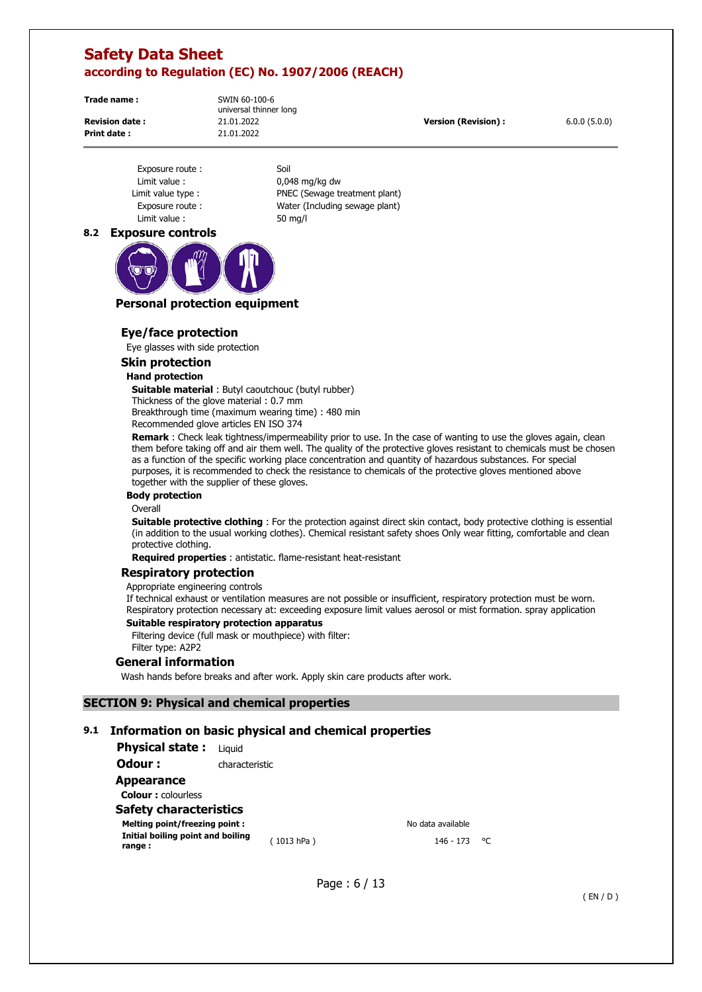**Trade name :** SWIN 60-100-6

**Print date :** 21.01.2022

universal thinner long

**Revision date :** 21.01.2022 **Version (Revision) :** 6.0.0 (5.0.0)

Exposure route : Soil Limit value : 0,048 mg/kg dw Limit value : 50 mg/l

Limit value type : PNEC (Sewage treatment plant) Exposure route : Water (Including sewage plant)

# **8.2 Exposure controls**



### **Personal protection equipment**

#### **Eye/face protection**

Eye glasses with side protection

# **Skin protection**

#### **Hand protection**

**Suitable material** : Butyl caoutchouc (butyl rubber) Thickness of the glove material : 0.7 mm Breakthrough time (maximum wearing time) : 480 min Recommended glove articles EN ISO 374

**Remark** : Check leak tightness/impermeability prior to use. In the case of wanting to use the gloves again, clean them before taking off and air them well. The quality of the protective gloves resistant to chemicals must be chosen

as a function of the specific working place concentration and quantity of hazardous substances. For special purposes, it is recommended to check the resistance to chemicals of the protective gloves mentioned above together with the supplier of these gloves.

#### **Body protection**

#### Overall

**Suitable protective clothing** : For the protection against direct skin contact, body protective clothing is essential (in addition to the usual working clothes). Chemical resistant safety shoes Only wear fitting, comfortable and clean protective clothing.

**Required properties** : antistatic. flame-resistant heat-resistant

#### **Respiratory protection**

Appropriate engineering controls

If technical exhaust or ventilation measures are not possible or insufficient, respiratory protection must be worn. Respiratory protection necessary at: exceeding exposure limit values aerosol or mist formation. spray application

#### **Suitable respiratory protection apparatus**

Filtering device (full mask or mouthpiece) with filter: Filter type: A2P2

#### **General information**

Wash hands before breaks and after work. Apply skin care products after work.

### **SECTION 9: Physical and chemical properties**

# **9.1 Information on basic physical and chemical properties**

| <b>Physical state:</b> Liquid               |                |            |                   |    |
|---------------------------------------------|----------------|------------|-------------------|----|
| Odour :                                     | characteristic |            |                   |    |
| Appearance                                  |                |            |                   |    |
| <b>Colour:</b> colourless                   |                |            |                   |    |
| <b>Safety characteristics</b>               |                |            |                   |    |
| Melting point/freezing point:               |                |            | No data available |    |
| Initial boiling point and boiling<br>range: |                | (1013 hPa) | 146 - 173         | °∩ |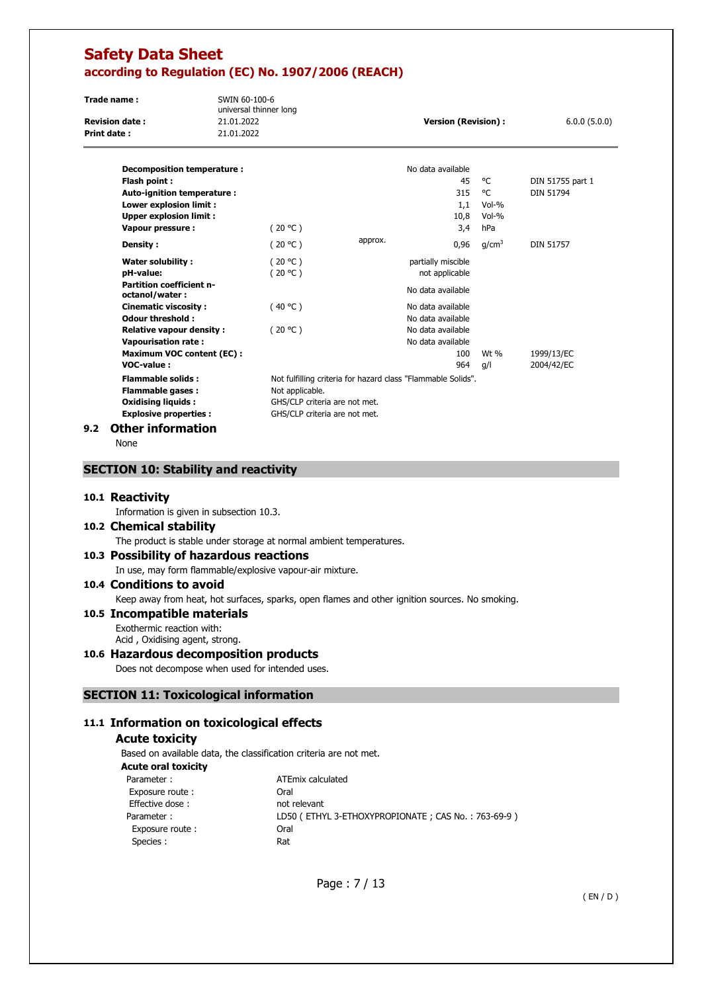| Trade name:           | SWIN 60-100-6<br>universal thinner long |                      |              |
|-----------------------|-----------------------------------------|----------------------|--------------|
| <b>Revision date:</b> | 21.01.2022                              | Version (Revision) : | 6.0.0(5.0.0) |
| Print date:           | 21.01.2022                              |                      |              |
|                       |                                         |                      |              |

| Decomposition temperature :                       |                               |         | No data available                                            |                   |                  |
|---------------------------------------------------|-------------------------------|---------|--------------------------------------------------------------|-------------------|------------------|
| Flash point:                                      |                               |         | 45                                                           | °C                | DIN 51755 part 1 |
| Auto-ignition temperature :                       |                               |         | 315                                                          | °C                | <b>DIN 51794</b> |
| Lower explosion limit :                           |                               |         | 1,1                                                          | $Vol-%$           |                  |
| <b>Upper explosion limit:</b>                     |                               |         | 10,8                                                         | $Vol-%$           |                  |
| Vapour pressure :                                 | (20 °C )                      |         | 3,4                                                          | hPa               |                  |
| Density :                                         | (20 °C)                       | approx. | 0,96                                                         | q/cm <sup>3</sup> | <b>DIN 51757</b> |
| Water solubility:                                 | (20 °C )                      |         | partially miscible                                           |                   |                  |
| pH-value:                                         | (20 °C)                       |         | not applicable                                               |                   |                  |
| <b>Partition coefficient n-</b><br>octanol/water: |                               |         | No data available                                            |                   |                  |
| <b>Cinematic viscosity:</b>                       | (40 °C )                      |         | No data available                                            |                   |                  |
| Odour threshold:                                  |                               |         | No data available                                            |                   |                  |
| <b>Relative vapour density:</b>                   | (20 °C)                       |         | No data available                                            |                   |                  |
| <b>Vapourisation rate:</b>                        |                               |         | No data available                                            |                   |                  |
| <b>Maximum VOC content (EC):</b>                  |                               |         | 100                                                          | Wt $%$            | 1999/13/EC       |
| VOC-value:                                        |                               |         | 964                                                          | g/l               | 2004/42/EC       |
| <b>Flammable solids:</b>                          |                               |         | Not fulfilling criteria for hazard class "Flammable Solids". |                   |                  |
| <b>Flammable gases:</b>                           | Not applicable.               |         |                                                              |                   |                  |
| <b>Oxidising liquids:</b>                         | GHS/CLP criteria are not met. |         |                                                              |                   |                  |
| <b>Explosive properties:</b>                      | GHS/CLP criteria are not met. |         |                                                              |                   |                  |
| <b>ALL  ! f</b> .                                 |                               |         |                                                              |                   |                  |

#### **9.2 Other information**

None

### **SECTION 10: Stability and reactivity**

#### **10.1 Reactivity**

Information is given in subsection 10.3.

#### **10.2 Chemical stability**

The product is stable under storage at normal ambient temperatures.

### **10.3 Possibility of hazardous reactions**

In use, may form flammable/explosive vapour-air mixture.

#### **10.4 Conditions to avoid**

Keep away from heat, hot surfaces, sparks, open flames and other ignition sources. No smoking.

#### **10.5 Incompatible materials**  Exothermic reaction with:

Acid , Oxidising agent, strong.

## **10.6 Hazardous decomposition products**

Does not decompose when used for intended uses.

# **SECTION 11: Toxicological information**

# **11.1 Information on toxicological effects**

### **Acute toxicity**

Based on available data, the classification criteria are not met.

| <b>Acute oral toxicity</b> |                                                    |
|----------------------------|----------------------------------------------------|
| Parameter:                 | ATEmix calculated                                  |
| Exposure route:            | Oral                                               |
| Effective dose:            | not relevant                                       |
| Parameter:                 | LD50 (ETHYL 3-ETHOXYPROPIONATE; CAS No.: 763-69-9) |
| Exposure route:            | Oral                                               |
| Species :                  | Rat                                                |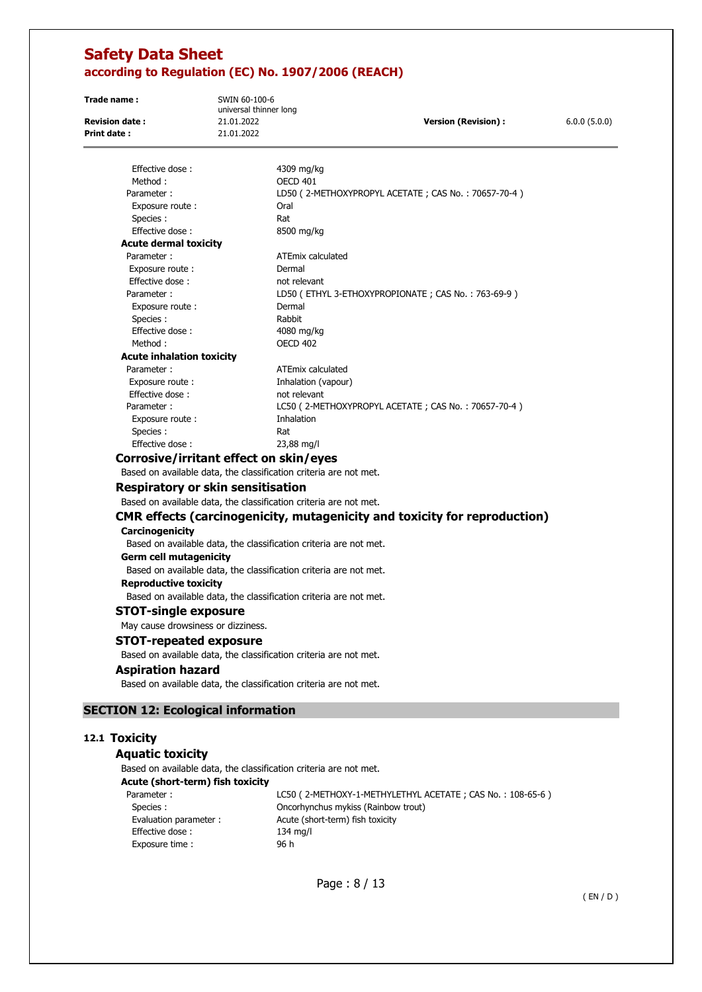| Trade name:           | SWIN 60-100-6<br>universal thinner long |                      |              |
|-----------------------|-----------------------------------------|----------------------|--------------|
| <b>Revision date:</b> | 21.01.2022                              | Version (Revision) : | 6.0.0(5.0.0) |
| Print date:           | 21.01.2022                              |                      |              |
|                       |                                         |                      |              |

| Effective dose:                                                   | 4309 mg/kg                                                                |
|-------------------------------------------------------------------|---------------------------------------------------------------------------|
| Method:                                                           | OECD 401                                                                  |
| Parameter:                                                        | LD50 (2-METHOXYPROPYL ACETATE; CAS No.: 70657-70-4)                       |
| Exposure route:                                                   | Oral                                                                      |
| Species :                                                         | Rat                                                                       |
| Effective dose:                                                   | 8500 mg/kg                                                                |
| <b>Acute dermal toxicity</b>                                      |                                                                           |
| Parameter:                                                        | <b>ATEmix calculated</b>                                                  |
| Exposure route:                                                   | Dermal                                                                    |
| Effective dose:                                                   | not relevant                                                              |
| Parameter:                                                        | LD50 (ETHYL 3-ETHOXYPROPIONATE; CAS No.: 763-69-9)                        |
| Exposure route:                                                   | Dermal                                                                    |
| Species :                                                         | Rabbit                                                                    |
| Effective dose:                                                   | 4080 mg/kg                                                                |
| Method:                                                           | <b>OECD 402</b>                                                           |
| <b>Acute inhalation toxicity</b>                                  |                                                                           |
| Parameter:                                                        | ATEmix calculated                                                         |
| Exposure route :                                                  | Inhalation (vapour)                                                       |
| Effective dose:                                                   | not relevant                                                              |
| Parameter:                                                        | LC50 (2-METHOXYPROPYL ACETATE; CAS No.: 70657-70-4)                       |
| Exposure route:                                                   | Inhalation                                                                |
| Species :                                                         | Rat                                                                       |
| Effective dose:                                                   | 23,88 mg/l                                                                |
| Corrosive/irritant effect on skin/eyes                            |                                                                           |
| Based on available data, the classification criteria are not met. |                                                                           |
| Respiratory or skin sensitisation                                 |                                                                           |
| Based on available data, the classification criteria are not met. |                                                                           |
|                                                                   | CMR effects (carcinogenicity, mutagenicity and toxicity for reproduction) |
| <b>Carcinogenicity</b>                                            |                                                                           |
| Based on available data, the classification criteria are not met. |                                                                           |
|                                                                   |                                                                           |

#### **Germ cell mutagenicity**

Based on available data, the classification criteria are not met.

#### **Reproductive toxicity**  Based on available data, the classification criteria are not met.

**STOT-single exposure** 

May cause drowsiness or dizziness.

#### **STOT-repeated exposure**

Based on available data, the classification criteria are not met.

### **Aspiration hazard**

Based on available data, the classification criteria are not met.

# **SECTION 12: Ecological information**

# **12.1 Toxicity**

# **Aquatic toxicity**

Based on available data, the classification criteria are not met.

| Acute (short-term) fish toxicity |  |  |
|----------------------------------|--|--|
|                                  |  |  |

| Parameter:             | LC50 (2-METHOXY-1-METHYLETHYL ACETATE; CAS No.: 108-65-6) |
|------------------------|-----------------------------------------------------------|
| Species :              | Oncorhynchus mykiss (Rainbow trout)                       |
| Evaluation parameter : | Acute (short-term) fish toxicity                          |
| Effective dose:        | $134 \text{ mg/l}$                                        |
| Exposure time:         | 96 h                                                      |
|                        |                                                           |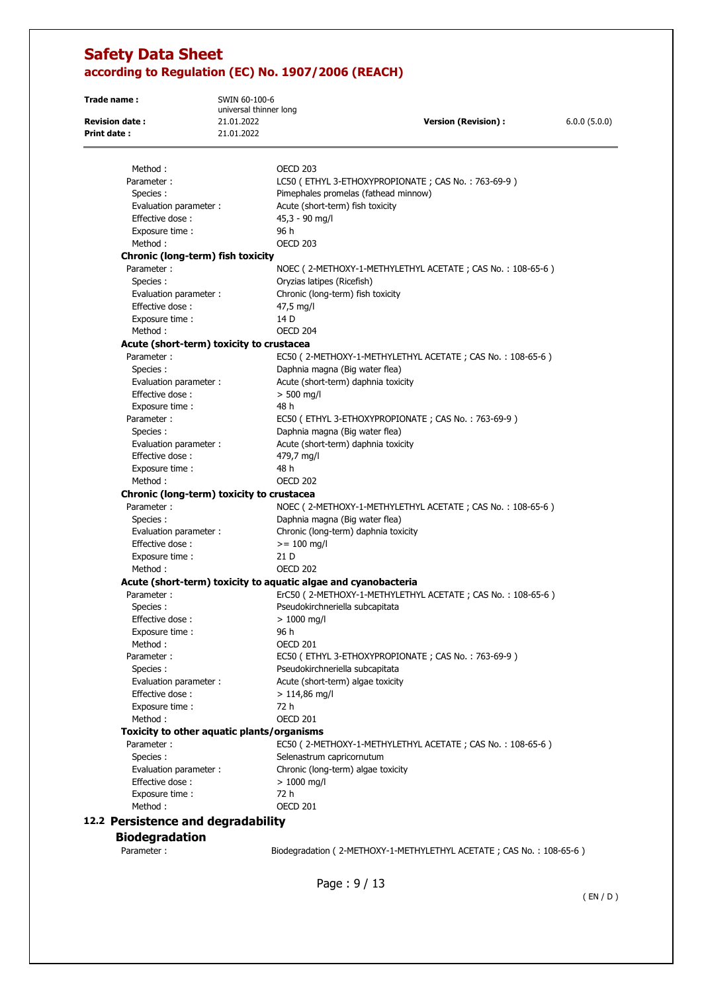**Trade name :** SWIN 60-100-6 universal thinner long **Revision date :** 21.01.2022 **Version (Revision) :** 6.0.0 (5.0.0) **Print date :** 21.01.2022 Method : CONTROLLER CONTROLLER CONTROLLER CONTROLLER OF 203 Parameter : LC50 (ETHYL 3-ETHOXYPROPIONATE ; CAS No. : 763-69-9 ) Species : Pimephales promelas (fathead minnow) Evaluation parameter : Acute (short-term) fish toxicity Effective dose : 45,3 - 90 mg/l Exposure time : 96 h Method : OECD 203 **Chronic (long-term) fish toxicity**  Parameter : NOEC ( 2-METHOXY-1-METHYLETHYL ACETATE ; CAS No. : 108-65-6 ) Species : Oryzias latipes (Ricefish) Evaluation parameter : Chronic (long-term) fish toxicity Effective dose : 47,5 mg/l Exposure time : 14 D Method : 0ECD 204 **Acute (short-term) toxicity to crustacea**  Parameter : EC50 ( 2-METHOXY-1-METHYLETHYL ACETATE ; CAS No. : 108-65-6 ) Species : Daphnia magna (Big water flea) Evaluation parameter : Acute (short-term) daphnia toxicity Effective dose :  $> 500$  mg/l Exposure time : 48 h Parameter : EC50 (ETHYL 3-ETHOXYPROPIONATE ; CAS No. : 763-69-9) Species : Daphnia magna (Big water flea) Evaluation parameter : <br>Acute (short-term) daphnia toxicity Effective dose : 479,7 mg/l Exposure time : 48 h Method : 0ECD 202 **Chronic (long-term) toxicity to crustacea**  Parameter : NOEC ( 2-METHOXY-1-METHYLETHYL ACETATE ; CAS No. : 108-65-6 ) Species : Daphnia magna (Big water flea) Evaluation parameter : Chronic (long-term) daphnia toxicity Effective dose :  $> = 100$  mg/l Exposure time : 21 D Method : 0ECD 202 **Acute (short-term) toxicity to aquatic algae and cyanobacteria**  Parameter : ErC50 ( 2-METHOXY-1-METHYLETHYL ACETATE ; CAS No. : 108-65-6 ) Species : Pseudokirchneriella subcapitata  $Effective dose:$  > 1000 mg/l Exposure time : 96 h Method : 0ECD 201 Parameter : EC50 (ETHYL 3-ETHOXYPROPIONATE ; CAS No. : 763-69-9) Species : Pseudokirchneriella subcapitata Evaluation parameter : <br>Acute (short-term) algae toxicity  $Effective dose :$  > 114.86 ma/l Exposure time : 72 h Method : OECD 201 **Toxicity to other aquatic plants/organisms**  Parameter : EC50 ( 2-METHOXY-1-METHYLETHYL ACETATE ; CAS No. : 108-65-6 ) Species : Selenastrum capricornutum Evaluation parameter : Chronic (long-term) algae toxicity  $Effective dose :$   $> 1000$  ma/l Exposure time : 72 h Method : 0ECD 201 **12.2 Persistence and degradability Biodegradation**  Parameter : Biodegradation ( 2-METHOXY-1-METHYLETHYL ACETATE ; CAS No. : 108-65-6 )

Page : 9 / 13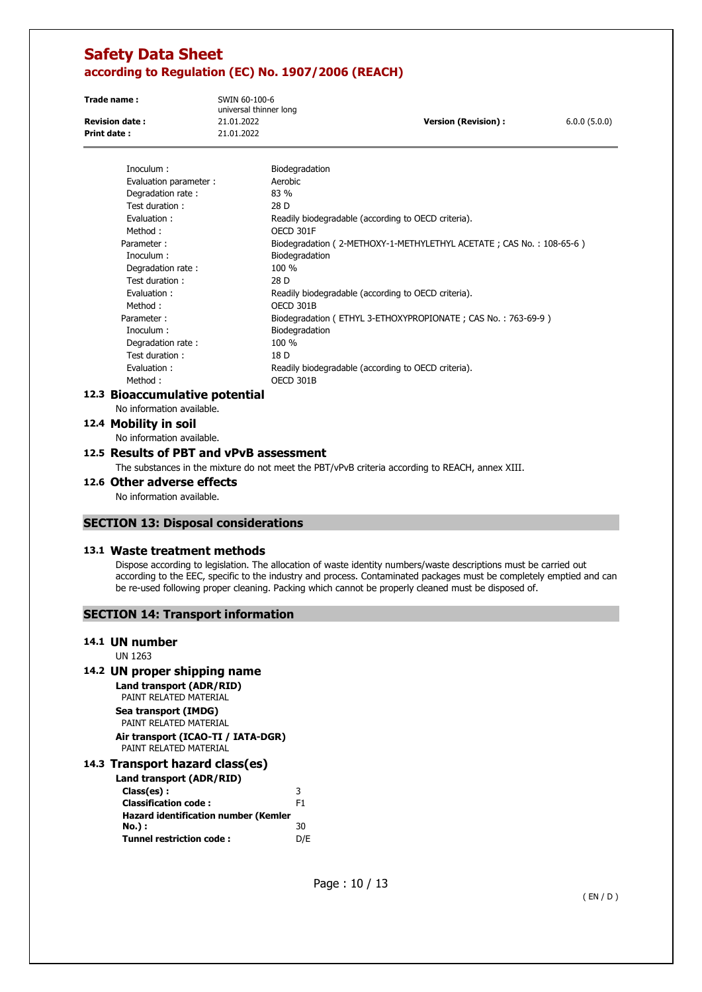**Trade name :** SWIN 60-100-6 universal thinner long **Revision date :** 21.01.2022 **Version (Revision) :** 6.0.0 (5.0.0) **Print date :** 21.01.2022

| Inoculum:                 | Biodegradation                                                      |
|---------------------------|---------------------------------------------------------------------|
| Evaluation parameter :    | Aerobic                                                             |
| Degradation rate:         | $83\%$                                                              |
| Test duration :           | 28 D                                                                |
| Evaluation:               | Readily biodegradable (according to OECD criteria).                 |
| Method:                   | OECD 301F                                                           |
| Parameter:                | Biodegradation (2-METHOXY-1-METHYLETHYL ACETATE; CAS No.: 108-65-6) |
| Inoculum :                | Biodegradation                                                      |
| Degradation rate:         | 100 %                                                               |
| Test duration:            | 28 D                                                                |
| Evaluation:               | Readily biodegradable (according to OECD criteria).                 |
| Method:                   | OECD 301B                                                           |
| Parameter:                | Biodegradation (ETHYL 3-ETHOXYPROPIONATE; CAS No.: 763-69-9)        |
| Inoculum:                 | Biodegradation                                                      |
| Degradation rate:         | 100 %                                                               |
| Test duration:            | 18 D                                                                |
| Evaluation:               | Readily biodegradable (according to OECD criteria).                 |
| Method:                   | OECD 301B                                                           |
| Rioaccumulative notential |                                                                     |

# **12.3 Bioaccumulative potential**

No information available.

**12.4 Mobility in soil** 

No information available.

### **12.5 Results of PBT and vPvB assessment**

The substances in the mixture do not meet the PBT/vPvB criteria according to REACH, annex XIII.

#### **12.6 Other adverse effects**

No information available.

### **SECTION 13: Disposal considerations**

#### **13.1 Waste treatment methods**

Dispose according to legislation. The allocation of waste identity numbers/waste descriptions must be carried out according to the EEC, specific to the industry and process. Contaminated packages must be completely emptied and can be re-used following proper cleaning. Packing which cannot be properly cleaned must be disposed of.

#### **SECTION 14: Transport information**

### **14.1 UN number**

UN 1263

# **14.2 UN proper shipping name**

**Land transport (ADR/RID)**  PAINT RELATED MATERIAL

**Sea transport (IMDG)**  PAINT RELATED MATERIAL **Air transport (ICAO-TI / IATA-DGR)**  PAINT RELATED MATERIAL

### **14.3 Transport hazard class(es)**

| Land transport (ADR/RID)                    |     |
|---------------------------------------------|-----|
| Class(es):                                  | 3   |
| <b>Classification code:</b>                 | F1  |
| <b>Hazard identification number (Kemler</b> |     |
| No.) :                                      | 30  |
| <b>Tunnel restriction code:</b>             | D/F |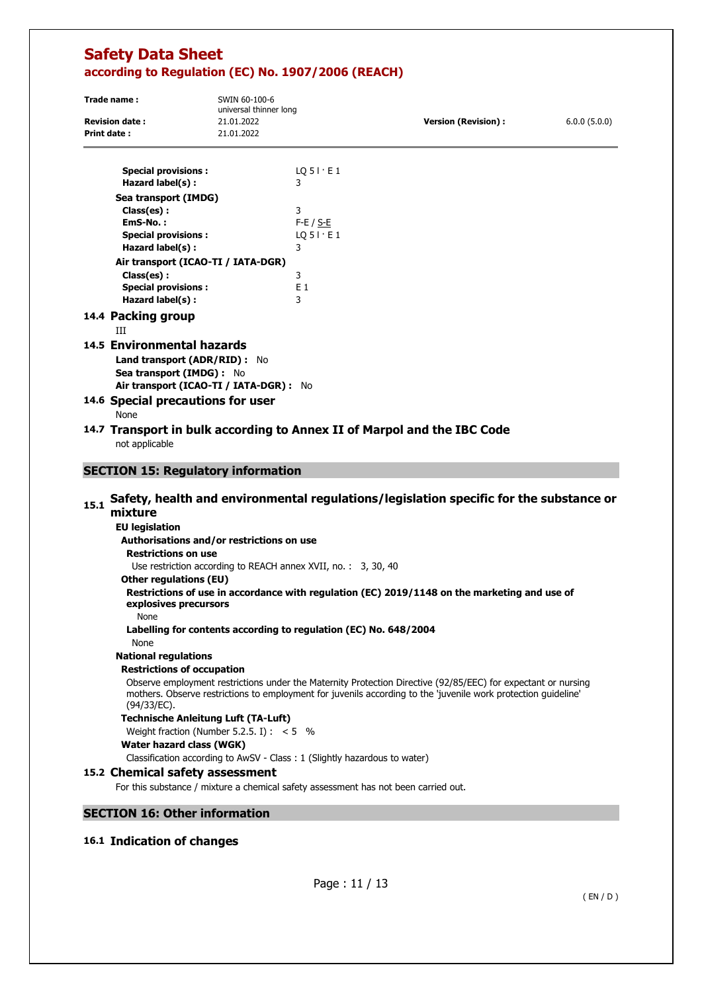| Trade name:           | SWIN 60-100-6<br>universal thinner long |                            |              |
|-----------------------|-----------------------------------------|----------------------------|--------------|
| <b>Revision date:</b> | 21.01.2022                              | <b>Version (Revision):</b> | 6.0.0(5.0.0) |
| Print date:           | 21.01.2022                              |                            |              |

| <b>Special provisions:</b>          | $LQ$ 5 $\vdots$ E 1 |
|-------------------------------------|---------------------|
| Hazard label(s):                    | 3                   |
| Sea transport (IMDG)                |                     |
| Class(es):                          | 3                   |
| EmS-No.:                            | $F-E / S-E$         |
| <b>Special provisions:</b>          | $LQ$ 5 $\vdots$ E 1 |
| Hazard label(s):                    | 3                   |
| Air transport (ICAO-TI / IATA-DGR)  |                     |
| Class(es):                          | 3                   |
| <b>Special provisions:</b>          | F 1                 |
| Hazard label(s):                    | 3                   |
| 14.4 Packing group<br>ш             |                     |
| 14.5 Environmental hazards          |                     |
| <b>Land transport (ADR/RID):</b> No |                     |
| Sea transport (IMDG) :<br>No.       |                     |

**Air transport (ICAO-TI / IATA-DGR) :** No

# **14.6 Special precautions for user**

None

# **14.7 Transport in bulk according to Annex II of Marpol and the IBC Code**  not applicable

# **SECTION 15: Regulatory information**

# 15.1 Safety, health and environmental regulations/legislation specific for the substance or **mixture**

**EU legislation Authorisations and/or restrictions on use Restrictions on use**  Use restriction according to REACH annex XVII, no. : 3, 30, 40 **Other regulations (EU) Restrictions of use in accordance with regulation (ЕС) 2019/1148 on the marketing and use of explosives precursors**  None **Labelling for contents according to regulation (EC) No. 648/2004**  None **National regulations Restrictions of occupation**  Observe employment restrictions under the Maternity Protection Directive (92/85/EEC) for expectant or nursing mothers. Observe restrictions to employment for juvenils according to the 'juvenile work protection guideline' (94/33/EC). **Technische Anleitung Luft (TA-Luft)**  Weight fraction (Number 5.2.5. I) :  $< 5\%$ **Water hazard class (WGK)**  Classification according to AwSV - Class : 1 (Slightly hazardous to water) **15.2 Chemical safety assessment**  For this substance / mixture a chemical safety assessment has not been carried out.

# **SECTION 16: Other information**

# **16.1 Indication of changes**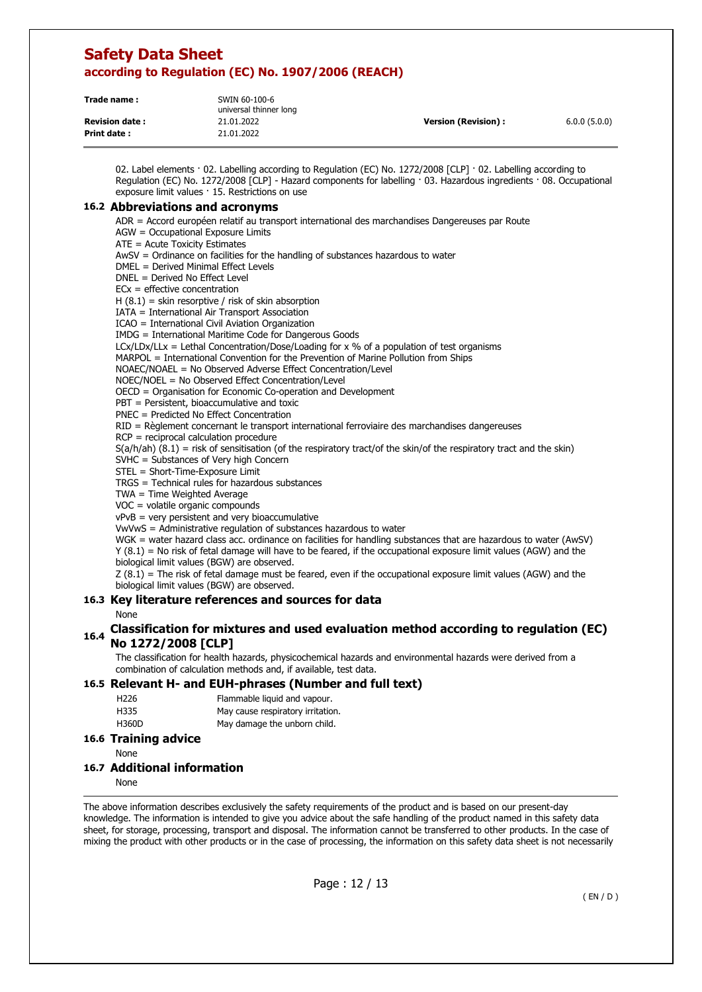| Trade name:           | SWIN 60-100-6<br>universal thinner long |                      |              |
|-----------------------|-----------------------------------------|----------------------|--------------|
| <b>Revision date:</b> | 21.01.2022                              | Version (Revision) : | 6.0.0(5.0.0) |
| Print date:           | 21.01.2022                              |                      |              |

02. Label elements · 02. Labelling according to Regulation (EC) No. 1272/2008 [CLP] · 02. Labelling according to Regulation (EC) No. 1272/2008 [CLP] - Hazard components for labelling · 03. Hazardous ingredients · 08. Occupational exposure limit values · 15. Restrictions on use

#### **16.2 Abbreviations and acronyms**

ADR = Accord européen relatif au transport international des marchandises Dangereuses par Route

AGW = Occupational Exposure Limits

ATE = Acute Toxicity Estimates

AwSV = Ordinance on facilities for the handling of substances hazardous to water

DMEL = Derived Minimal Effect Levels

DNEL = Derived No Effect Level

 $ECx = effective concentration$ 

 $H (8.1) =$  skin resorptive / risk of skin absorption

IATA = International Air Transport Association

ICAO = International Civil Aviation Organization

IMDG = International Maritime Code for Dangerous Goods

 $LCx/LDx/LLx = Lethal Concentration/Dose/Loading for x % of a population of test organisms$ 

MARPOL = International Convention for the Prevention of Marine Pollution from Ships

NOAEC/NOAEL = No Observed Adverse Effect Concentration/Level

NOEC/NOEL = No Observed Effect Concentration/Level

OECD = Organisation for Economic Co-operation and Development

PBT = Persistent, bioaccumulative and toxic

PNEC = Predicted No Effect Concentration

RID = Règlement concernant le transport international ferroviaire des marchandises dangereuses

RCP = reciprocal calculation procedure

 $S(a/h/ah)$  (8.1) = risk of sensitisation (of the respiratory tract/of the skin/of the respiratory tract and the skin)

SVHC = Substances of Very high Concern

STEL = Short-Time-Exposure Limit

TRGS = Technical rules for hazardous substances

TWA = Time Weighted Average

VOC = volatile organic compounds

vPvB = very persistent and very bioaccumulative

VwVwS = Administrative regulation of substances hazardous to water

WGK = water hazard class acc. ordinance on facilities for handling substances that are hazardous to water (AwSV) Y (8.1) = No risk of fetal damage will have to be feared, if the occupational exposure limit values (AGW) and the biological limit values (BGW) are observed.

Z (8.1) = The risk of fetal damage must be feared, even if the occupational exposure limit values (AGW) and the biological limit values (BGW) are observed.

### **16.3 Key literature references and sources for data**

None

### **16.4 Classification for mixtures and used evaluation method according to regulation (EC) No 1272/2008 [CLP]**

The classification for health hazards, physicochemical hazards and environmental hazards were derived from a combination of calculation methods and, if available, test data.

#### **16.5 Relevant H- and EUH-phrases (Number and full text)**

H226 Flammable liquid and vapour.

- H335 May cause respiratory irritation.
- H360D May damage the unborn child.

| <b>16.6 Training advice</b> |  |
|-----------------------------|--|
|                             |  |

None

#### **16.7 Additional information**

None

The above information describes exclusively the safety requirements of the product and is based on our present-day knowledge. The information is intended to give you advice about the safe handling of the product named in this safety data sheet, for storage, processing, transport and disposal. The information cannot be transferred to other products. In the case of mixing the product with other products or in the case of processing, the information on this safety data sheet is not necessarily